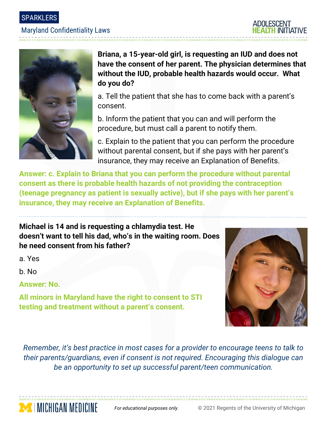SPARKLERS

## Maryland Confidentiality Laws



**Briana, a 15-year-old girl, is requesting an IUD and does not have the consent of her parent. The physician determines that without the IUD, probable health hazards would occur. What do you do?**

a. Tell the patient that she has to come back with a parent's consent.

b. Inform the patient that you can and will perform the procedure, but must call a parent to notify them.

c. Explain to the patient that you can perform the procedure without parental consent, but if she pays with her parent's insurance, they may receive an Explanation of Benefits.

**Answer: c. Explain to Briana that you can perform the procedure without parental consent as there is probable health hazards of not providing the contraception (teenage pregnancy as patient is sexually active), but if she pays with her parent's insurance, they may receive an Explanation of Benefits.**

**Michael is 14 and is requesting a chlamydia test. He doesn't want to tell his dad, who's in the waiting room. Does he need consent from his father?**

a. Yes

b. No

**Answer: No.** 

**MICHIGAN MEDICINE** 

**All minors in Maryland have the right to consent to STI testing and treatment without a parent's consent.**



*Remember, it's best practice in most cases for a provider to encourage teens to talk to their parents/guardians, even if consent is not required. Encouraging this dialogue can be an opportunity to set up successful parent/teen communication.*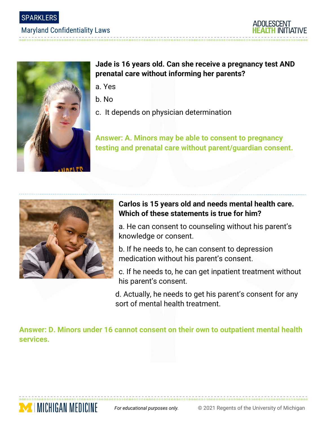SPARKLERS

### Maryland Confidentiality Laws





## **Jade is 16 years old. Can she receive a pregnancy test AND prenatal care without informing her parents?**

- a. Yes
- b. No
- c. It depends on physician determination

**Answer: A. Minors may be able to consent to pregnancy testing and prenatal care without parent/guardian consent.**



**MENICHIGAN MEDICINE** 

# **Carlos is 15 years old and needs mental health care. Which of these statements is true for him?**

a. He can consent to counseling without his parent's knowledge or consent.

b. If he needs to, he can consent to depression medication without his parent's consent.

c. If he needs to, he can get inpatient treatment without his parent's consent.

d. Actually, he needs to get his parent's consent for any sort of mental health treatment.

**Answer: D. Minors under 16 cannot consent on their own to outpatient mental health services.**